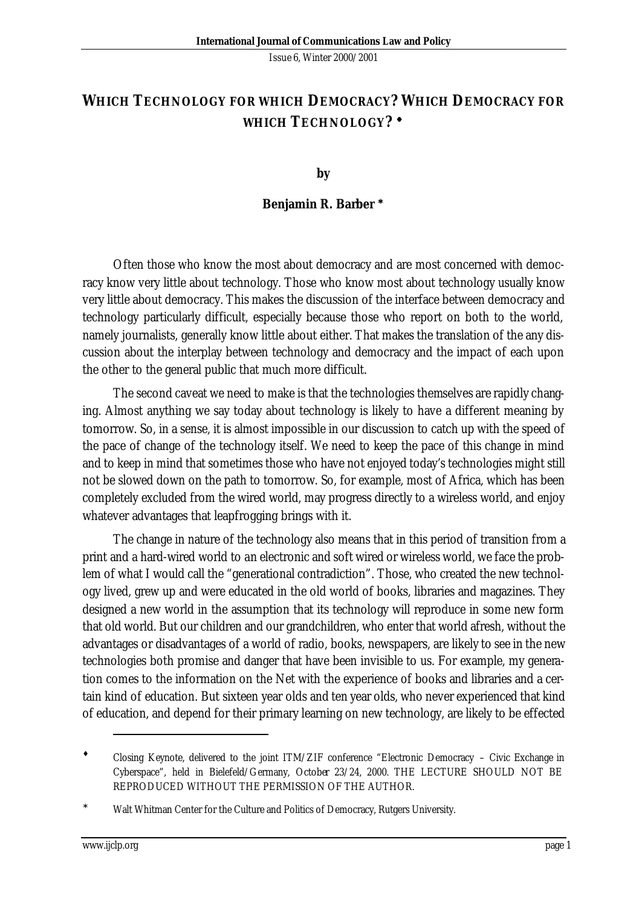## **WHICH TECHNOLOGY FOR WHICH DEMOCRACY? WHICH DEMOCRACY FOR WHICH TECHNOLOGY? ¨**

**by**

## **Benjamin R. Barber \***

Often those who know the most about democracy and are most concerned with democracy know very little about technology. Those who know most about technology usually know very little about democracy. This makes the discussion of the interface between democracy and technology particularly difficult, especially because those who report on both to the world, namely journalists, generally know little about either. That makes the translation of the any discussion about the interplay between technology and democracy and the impact of each upon the other to the general public that much more difficult.

The second caveat we need to make is that the technologies themselves are rapidly changing. Almost anything we say today about technology is likely to have a different meaning by tomorrow. So, in a sense, it is almost impossible in our discussion to catch up with the speed of the pace of change of the technology itself. We need to keep the pace of this change in mind and to keep in mind that sometimes those who have not enjoyed today's technologies might still not be slowed down on the path to tomorrow. So, for example, most of Africa, which has been completely excluded from the wired world, may progress directly to a wireless world, and enjoy whatever advantages that leapfrogging brings with it.

The change in nature of the technology also means that in this period of transition from a print and a hard-wired world to an electronic and soft wired or wireless world, we face the problem of what I would call the "generational contradiction". Those, who created the new technology lived, grew up and were educated in the old world of books, libraries and magazines. They designed a new world in the assumption that its technology will reproduce in some new form that old world. But our children and our grandchildren, who enter that world afresh, without the advantages or disadvantages of a world of radio, books, newspapers, are likely to see in the new technologies both promise and danger that have been invisible to us. For example, my generation comes to the information on the Net with the experience of books and libraries and a certain kind of education. But sixteen year olds and ten year olds, who never experienced that kind of education, and depend for their primary learning on new technology, are likely to be effected

l

Closing Keynote, delivered to the joint ITM/ZIF conference "Electronic Democracy - Civic Exchange in Cyberspace", held in Bielefeld/Germany, October 23/24, 2000. THE LECTURE SHOULD NOT BE REPRODUCED WITHOUT THE PERMISSION OF THE AUTHOR.

Walt Whitman Center for the Culture and Politics of Democracy, Rutgers University.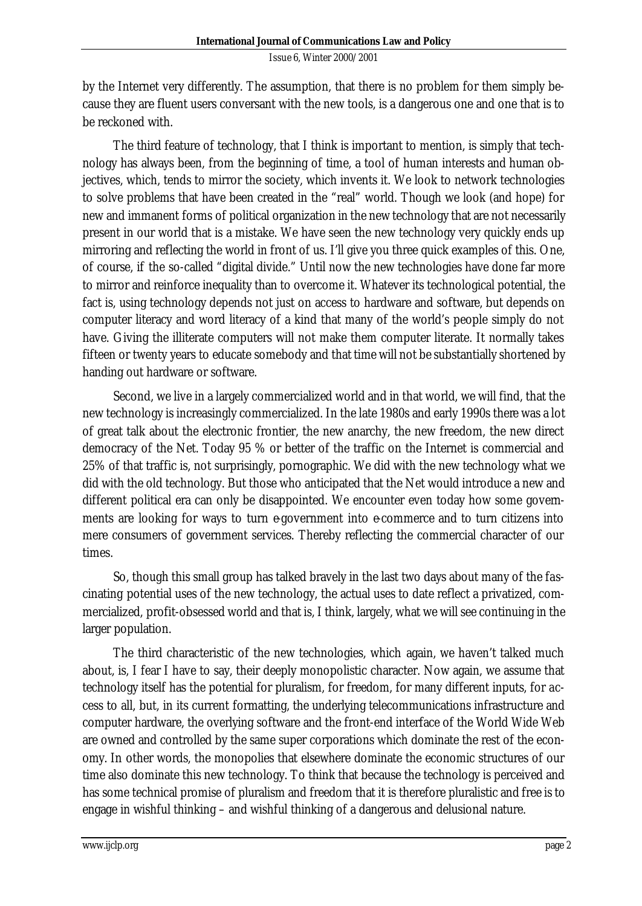by the Internet very differently. The assumption, that there is no problem for them simply because they are fluent users conversant with the new tools, is a dangerous one and one that is to be reckoned with.

The third feature of technology, that I think is important to mention, is simply that technology has always been, from the beginning of time, a tool of human interests and human objectives, which, tends to mirror the society, which invents it. We look to network technologies to solve problems that have been created in the "real" world. Though we look (and hope) for new and immanent forms of political organization in the new technology that are not necessarily present in our world that is a mistake. We have seen the new technology very quickly ends up mirroring and reflecting the world in front of us. I'll give you three quick examples of this. One, of course, if the so-called "digital divide." Until now the new technologies have done far more to mirror and reinforce inequality than to overcome it. Whatever its technological potential, the fact is, using technology depends not just on access to hardware and software, but depends on computer literacy and word literacy of a kind that many of the world's people simply do not have. Giving the illiterate computers will not make them computer literate. It normally takes fifteen or twenty years to educate somebody and that time will not be substantially shortened by handing out hardware or software.

Second, we live in a largely commercialized world and in that world, we will find, that the new technology is increasingly commercialized. In the late 1980s and early 1990s there was a lot of great talk about the electronic frontier, the new anarchy, the new freedom, the new direct democracy of the Net. Today 95 % or better of the traffic on the Internet is commercial and 25% of that traffic is, not surprisingly, pornographic. We did with the new technology what we did with the old technology. But those who anticipated that the Net would introduce a new and different political era can only be disappointed. We encounter even today how some governments are looking for ways to turn e-government into e-commerce and to turn citizens into mere consumers of government services. Thereby reflecting the commercial character of our times.

So, though this small group has talked bravely in the last two days about many of the fascinating potential uses of the new technology, the actual uses to date reflect a privatized, commercialized, profit-obsessed world and that is, I think, largely, what we will see continuing in the larger population.

The third characteristic of the new technologies, which again, we haven't talked much about, is, I fear I have to say, their deeply monopolistic character. Now again, we assume that technology itself has the potential for pluralism, for freedom, for many different inputs, for access to all, but, in its current formatting, the underlying telecommunications infrastructure and computer hardware, the overlying software and the front-end interface of the World Wide Web are owned and controlled by the same super corporations which dominate the rest of the economy. In other words, the monopolies that elsewhere dominate the economic structures of our time also dominate this new technology. To think that because the technology is perceived and has some technical promise of pluralism and freedom that it is therefore pluralistic and free is to engage in wishful thinking – and wishful thinking of a dangerous and delusional nature.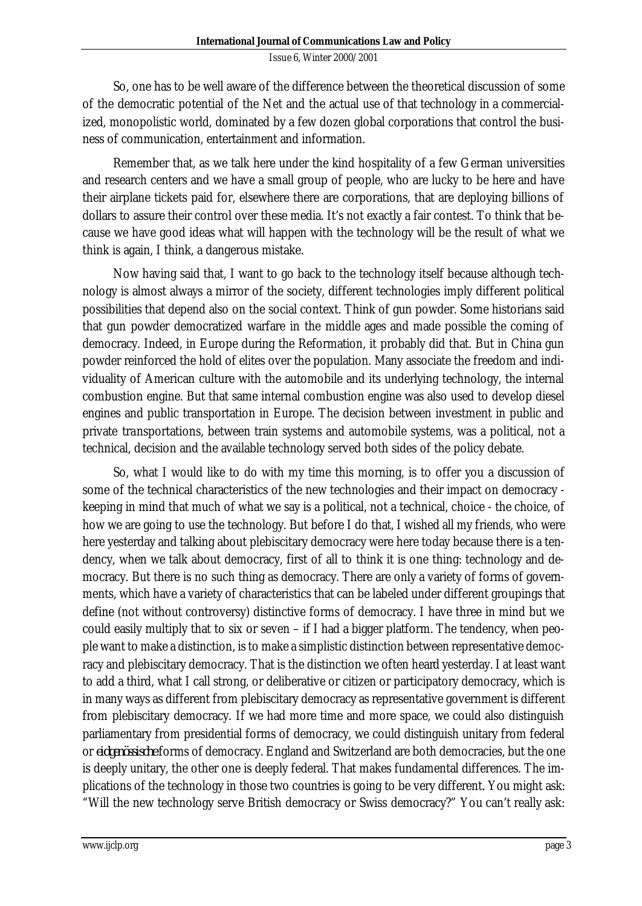So, one has to be well aware of the difference between the theoretical discussion of some of the democratic potential of the Net and the actual use of that technology in a commercialized, monopolistic world, dominated by a few dozen global corporations that control the business of communication, entertainment and information.

Remember that, as we talk here under the kind hospitality of a few German universities and research centers and we have a small group of people, who are lucky to be here and have their airplane tickets paid for, elsewhere there are corporations, that are deploying billions of dollars to assure their control over these media. It's not exactly a fair contest. To think that because we have good ideas what will happen with the technology will be the result of what we think is again, I think, a dangerous mistake.

Now having said that, I want to go back to the technology itself because although technology is almost always a mirror of the society, different technologies imply different political possibilities that depend also on the social context. Think of gun powder. Some historians said that gun powder democratized warfare in the middle ages and made possible the coming of democracy. Indeed, in Europe during the Reformation, it probably did that. But in China gun powder reinforced the hold of elites over the population. Many associate the freedom and individuality of American culture with the automobile and its underlying technology, the internal combustion engine. But that same internal combustion engine was also used to develop diesel engines and public transportation in Europe. The decision between investment in public and private transportations, between train systems and automobile systems, was a political, not a technical, decision and the available technology served both sides of the policy debate.

So, what I would like to do with my time this morning, is to offer you a discussion of some of the technical characteristics of the new technologies and their impact on democracy keeping in mind that much of what we say is a political, not a technical, choice - the choice, of how we are going to use the technology. But before I do that, I wished all my friends, who were here yesterday and talking about plebiscitary democracy were here today because there is a tendency, when we talk about democracy, first of all to think it is one thing: technology and democracy. But there is no such thing as democracy. There are only a variety of forms of governments, which have a variety of characteristics that can be labeled under different groupings that define (not without controversy) distinctive forms of democracy. I have three in mind but we could easily multiply that to six or seven – if I had a bigger platform. The tendency, when people want to make a distinction, is to make a simplistic distinction between representative democracy and plebiscitary democracy. That is the distinction we often heard yesterday. I at least want to add a third, what I call strong, or deliberative or citizen or participatory democracy, which is in many ways as different from plebiscitary democracy as representative government is different from plebiscitary democracy. If we had more time and more space, we could also distinguish parliamentary from presidential forms of democracy, we could distinguish unitary from federal or *eidgenössische* forms of democracy. England and Switzerland are both democracies, but the one is deeply unitary, the other one is deeply federal. That makes fundamental differences. The implications of the technology in those two countries is going to be very different. You might ask: "Will the new technology serve British democracy or Swiss democracy?" You can't really ask: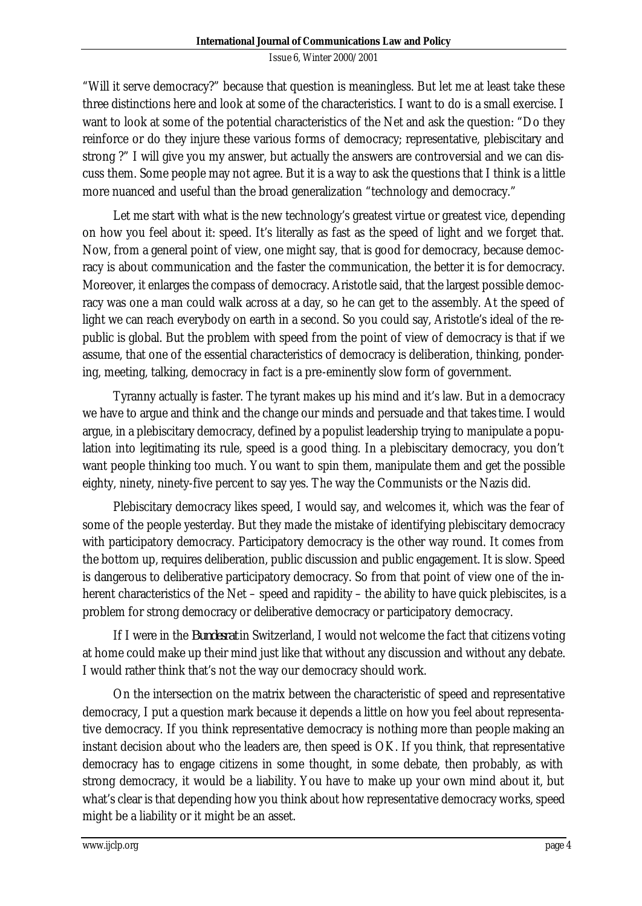"Will it serve democracy?" because that question is meaningless. But let me at least take these three distinctions here and look at some of the characteristics. I want to do is a small exercise. I want to look at some of the potential characteristics of the Net and ask the question: "Do they reinforce or do they injure these various forms of democracy; representative, plebiscitary and strong ?" I will give you my answer, but actually the answers are controversial and we can discuss them. Some people may not agree. But it is a way to ask the questions that I think is a little more nuanced and useful than the broad generalization "technology and democracy."

Let me start with what is the new technology's greatest virtue or greatest vice, depending on how you feel about it: speed. It's literally as fast as the speed of light and we forget that. Now, from a general point of view, one might say, that is good for democracy, because democracy is about communication and the faster the communication, the better it is for democracy. Moreover, it enlarges the compass of democracy. Aristotle said, that the largest possible democracy was one a man could walk across at a day, so he can get to the assembly. At the speed of light we can reach everybody on earth in a second. So you could say, Aristotle's ideal of the republic is global. But the problem with speed from the point of view of democracy is that if we assume, that one of the essential characteristics of democracy is deliberation, thinking, pondering, meeting, talking, democracy in fact is a pre-eminently slow form of government.

Tyranny actually is faster. The tyrant makes up his mind and it's law. But in a democracy we have to argue and think and the change our minds and persuade and that takes time. I would argue, in a plebiscitary democracy, defined by a populist leadership trying to manipulate a population into legitimating its rule, speed is a good thing. In a plebiscitary democracy, you don't want people thinking too much. You want to spin them, manipulate them and get the possible eighty, ninety, ninety-five percent to say yes. The way the Communists or the Nazis did.

Plebiscitary democracy likes speed, I would say, and welcomes it, which was the fear of some of the people yesterday. But they made the mistake of identifying plebiscitary democracy with participatory democracy. Participatory democracy is the other way round. It comes from the bottom up, requires deliberation, public discussion and public engagement. It is slow. Speed is dangerous to deliberative participatory democracy. So from that point of view one of the inherent characteristics of the Net – speed and rapidity – the ability to have quick plebiscites, is a problem for strong democracy or deliberative democracy or participatory democracy.

If I were in the *Bundesrat* in Switzerland, I would not welcome the fact that citizens voting at home could make up their mind just like that without any discussion and without any debate. I would rather think that's not the way our democracy should work.

On the intersection on the matrix between the characteristic of speed and representative democracy, I put a question mark because it depends a little on how you feel about representative democracy. If you think representative democracy is nothing more than people making an instant decision about who the leaders are, then speed is OK. If you think, that representative democracy has to engage citizens in some thought, in some debate, then probably, as with strong democracy, it would be a liability. You have to make up your own mind about it, but what's clear is that depending how you think about how representative democracy works, speed might be a liability or it might be an asset.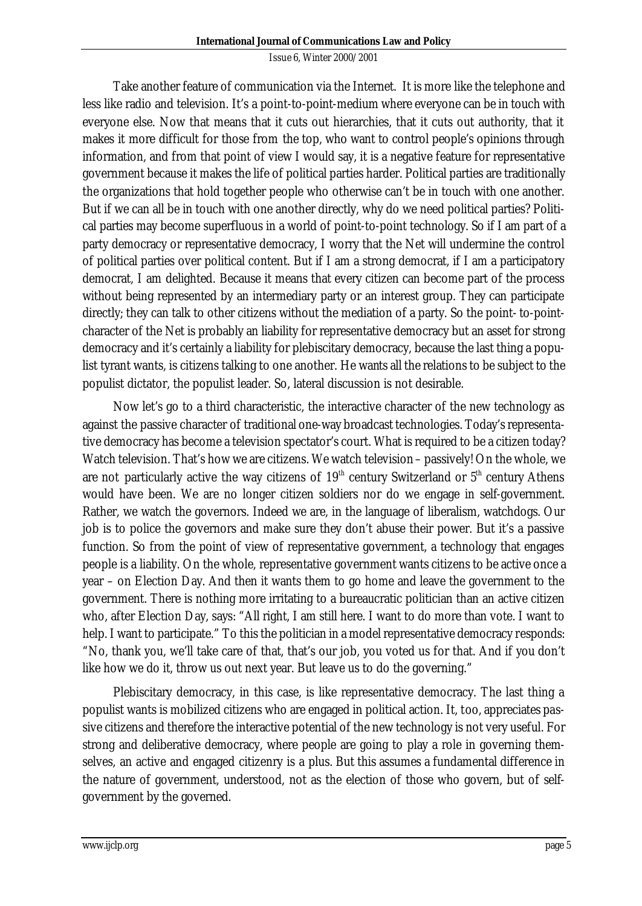Take another feature of communication via the Internet. It is more like the telephone and less like radio and television. It's a point-to-point-medium where everyone can be in touch with everyone else. Now that means that it cuts out hierarchies, that it cuts out authority, that it makes it more difficult for those from the top, who want to control people's opinions through information, and from that point of view I would say, it is a negative feature for representative government because it makes the life of political parties harder. Political parties are traditionally the organizations that hold together people who otherwise can't be in touch with one another. But if we can all be in touch with one another directly, why do we need political parties? Political parties may become superfluous in a world of point-to-point technology. So if I am part of a party democracy or representative democracy, I worry that the Net will undermine the control of political parties over political content. But if I am a strong democrat, if I am a participatory democrat, I am delighted. Because it means that every citizen can become part of the process without being represented by an intermediary party or an interest group. They can participate directly; they can talk to other citizens without the mediation of a party. So the point- to-pointcharacter of the Net is probably an liability for representative democracy but an asset for strong democracy and it's certainly a liability for plebiscitary democracy, because the last thing a populist tyrant wants, is citizens talking to one another. He wants all the relations to be subject to the populist dictator, the populist leader. So, lateral discussion is not desirable.

Now let's go to a third characteristic, the interactive character of the new technology as against the passive character of traditional one-way broadcast technologies. Today's representative democracy has become a television spectator's court. What is required to be a citizen today? Watch television. That's how we are citizens. We watch television – passively! On the whole, we are not particularly active the way citizens of  $19<sup>th</sup>$  century Switzerland or  $5<sup>th</sup>$  century Athens would have been. We are no longer citizen soldiers nor do we engage in self-government. Rather, we watch the governors. Indeed we are, in the language of liberalism, watchdogs. Our job is to police the governors and make sure they don't abuse their power. But it's a passive function. So from the point of view of representative government, a technology that engages people is a liability. On the whole, representative government wants citizens to be active once a year – on Election Day. And then it wants them to go home and leave the government to the government. There is nothing more irritating to a bureaucratic politician than an active citizen who, after Election Day, says: "All right, I am still here. I want to do more than vote. I want to help. I want to participate." To this the politician in a model representative democracy responds: "No, thank you, we'll take care of that, that's our job, you voted us for that. And if you don't like how we do it, throw us out next year. But leave us to do the governing."

Plebiscitary democracy, in this case, is like representative democracy. The last thing a populist wants is mobilized citizens who are engaged in political action. It, too, appreciates passive citizens and therefore the interactive potential of the new technology is not very useful. For strong and deliberative democracy, where people are going to play a role in governing themselves, an active and engaged citizenry is a plus. But this assumes a fundamental difference in the nature of government, understood, not as the election of those who govern, but of selfgovernment by the governed.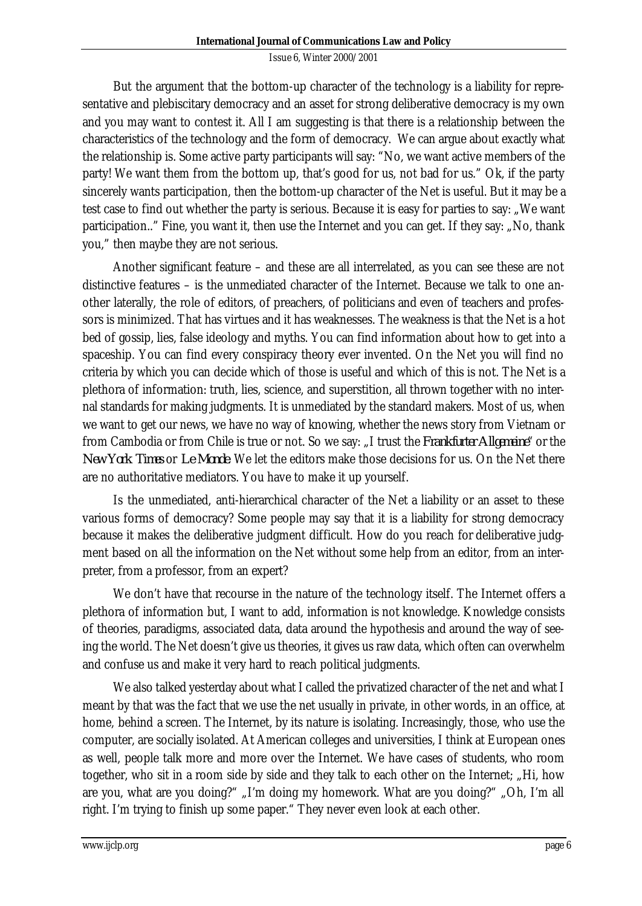But the argument that the bottom-up character of the technology is a liability for representative and plebiscitary democracy and an asset for strong deliberative democracy is my own and you may want to contest it. All I am suggesting is that there is a relationship between the characteristics of the technology and the form of democracy. We can argue about exactly what the relationship is. Some active party participants will say: "No, we want active members of the party! We want them from the bottom up, that's good for us, not bad for us." Ok, if the party sincerely wants participation, then the bottom-up character of the Net is useful. But it may be a test case to find out whether the party is serious. Because it is easy for parties to say: "We want participation.." Fine, you want it, then use the Internet and you can get. If they say: "No, thank you," then maybe they are not serious.

Another significant feature – and these are all interrelated, as you can see these are not distinctive features – is the unmediated character of the Internet. Because we talk to one another laterally, the role of editors, of preachers, of politicians and even of teachers and professors is minimized. That has virtues and it has weaknesses. The weakness is that the Net is a hot bed of gossip, lies, false ideology and myths. You can find information about how to get into a spaceship. You can find every conspiracy theory ever invented. On the Net you will find no criteria by which you can decide which of those is useful and which of this is not. The Net is a plethora of information: truth, lies, science, and superstition, all thrown together with no internal standards for making judgments. It is unmediated by the standard makers. Most of us, when we want to get our news, we have no way of knowing, whether the news story from Vietnam or from Cambodia or from Chile is true or not. So we say: "I trust the *Frankfurter Allgemeine*" or the *New York Times* or *Le Monde*. We let the editors make those decisions for us. On the Net there are no authoritative mediators. You have to make it up yourself.

Is the unmediated, anti-hierarchical character of the Net a liability or an asset to these various forms of democracy? Some people may say that it is a liability for strong democracy because it makes the deliberative judgment difficult. How do you reach for deliberative judgment based on all the information on the Net without some help from an editor, from an interpreter, from a professor, from an expert?

We don't have that recourse in the nature of the technology itself. The Internet offers a plethora of information but, I want to add, information is not knowledge. Knowledge consists of theories, paradigms, associated data, data around the hypothesis and around the way of seeing the world. The Net doesn't give us theories, it gives us raw data, which often can overwhelm and confuse us and make it very hard to reach political judgments.

We also talked yesterday about what I called the privatized character of the net and what I meant by that was the fact that we use the net usually in private, in other words, in an office, at home, behind a screen. The Internet, by its nature is isolating. Increasingly, those, who use the computer, are socially isolated. At American colleges and universities, I think at European ones as well, people talk more and more over the Internet. We have cases of students, who room together, who sit in a room side by side and they talk to each other on the Internet; "Hi, how are you, what are you doing?" "I'm doing my homework. What are you doing?" "Oh, I'm all right. I'm trying to finish up some paper." They never even look at each other.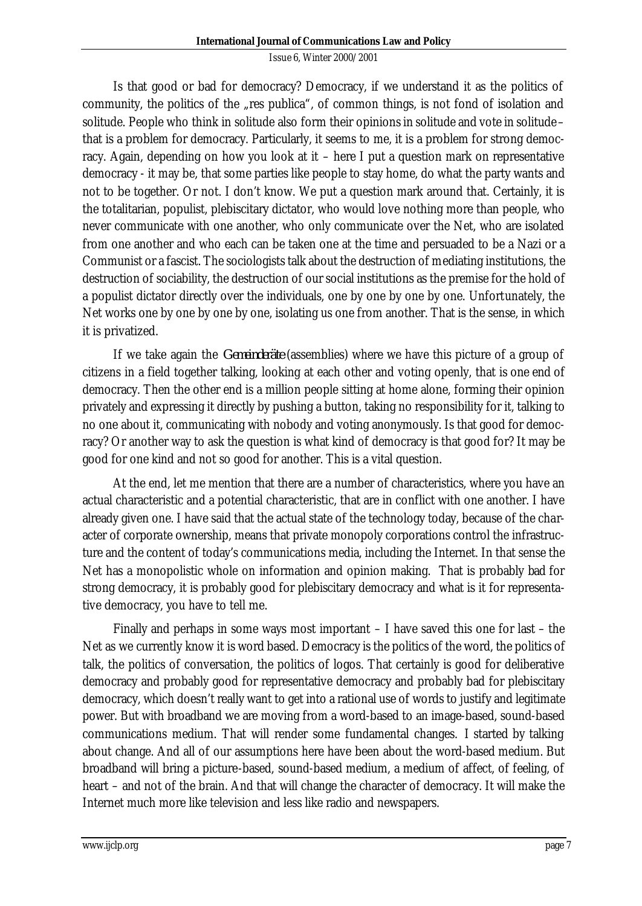Is that good or bad for democracy? Democracy, if we understand it as the politics of community, the politics of the "res publica", of common things, is not fond of isolation and solitude. People who think in solitude also form their opinions in solitude and vote in solitude – that is a problem for democracy. Particularly, it seems to me, it is a problem for strong democracy. Again, depending on how you look at it – here I put a question mark on representative democracy - it may be, that some parties like people to stay home, do what the party wants and not to be together. Or not. I don't know. We put a question mark around that. Certainly, it is the totalitarian, populist, plebiscitary dictator, who would love nothing more than people, who never communicate with one another, who only communicate over the Net, who are isolated from one another and who each can be taken one at the time and persuaded to be a Nazi or a Communist or a fascist. The sociologists talk about the destruction of mediating institutions, the destruction of sociability, the destruction of our social institutions as the premise for the hold of a populist dictator directly over the individuals, one by one by one by one. Unfortunately, the Net works one by one by one by one, isolating us one from another. That is the sense, in which it is privatized.

If we take again the *Gemeinderäte* (assemblies) where we have this picture of a group of citizens in a field together talking, looking at each other and voting openly, that is one end of democracy. Then the other end is a million people sitting at home alone, forming their opinion privately and expressing it directly by pushing a button, taking no responsibility for it, talking to no one about it, communicating with nobody and voting anonymously. Is that good for democracy? Or another way to ask the question is what kind of democracy is that good for? It may be good for one kind and not so good for another. This is a vital question.

At the end, let me mention that there are a number of characteristics, where you have an actual characteristic and a potential characteristic, that are in conflict with one another. I have already given one. I have said that the actual state of the technology today, because of the character of corporate ownership, means that private monopoly corporations control the infrastructure and the content of today's communications media, including the Internet. In that sense the Net has a monopolistic whole on information and opinion making. That is probably bad for strong democracy, it is probably good for plebiscitary democracy and what is it for representative democracy, you have to tell me.

Finally and perhaps in some ways most important – I have saved this one for last – the Net as we currently know it is word based. Democracy is the politics of the word, the politics of talk, the politics of conversation, the politics of logos. That certainly is good for deliberative democracy and probably good for representative democracy and probably bad for plebiscitary democracy, which doesn't really want to get into a rational use of words to justify and legitimate power. But with broadband we are moving from a word-based to an image-based, sound-based communications medium. That will render some fundamental changes. I started by talking about change. And all of our assumptions here have been about the word-based medium. But broadband will bring a picture-based, sound-based medium, a medium of affect, of feeling, of heart – and not of the brain. And that will change the character of democracy. It will make the Internet much more like television and less like radio and newspapers.